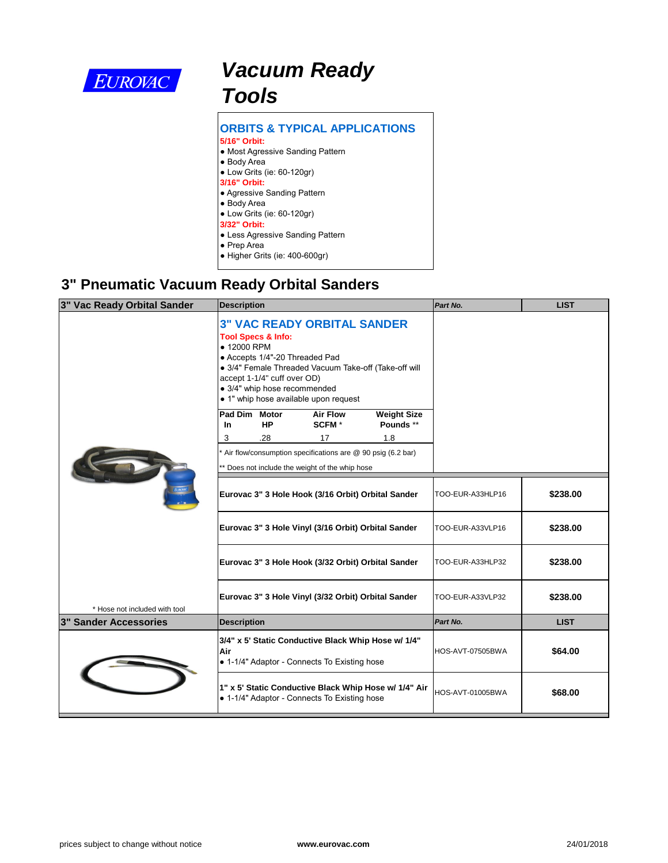

# *Vacuum Ready Tools*

| <b>ORBITS &amp; TYPICAL APPLICATIONS</b> |
|------------------------------------------|
| 5/16" Orbit:                             |
| • Most Agressive Sanding Pattern         |
| • Body Area                              |
| • Low Grits (ie: 60-120gr)               |
| 3/16" Orbit:                             |
| • Agressive Sanding Pattern              |
| • Body Area                              |
| $\bullet$ Low Grits (ie: 60-120gr)       |
| 3/32" Orbit:                             |
| <b>• Less Agressive Sanding Pattern</b>  |
| $\bullet$ Prep Area                      |
| ● Higher Grits (ie: 400-600gr)           |
|                                          |

#### **3" Pneumatic Vacuum Ready Orbital Sanders**

| 3" Vac Ready Orbital Sander   | <b>Description</b>                                                                                                                                                                                                                                                                    |  |                                                 |                                                             | Part No.         |  |
|-------------------------------|---------------------------------------------------------------------------------------------------------------------------------------------------------------------------------------------------------------------------------------------------------------------------------------|--|-------------------------------------------------|-------------------------------------------------------------|------------------|--|
|                               | <b>3" VAC READY ORBITAL SANDER</b><br><b>Tool Specs &amp; Info:</b><br>• 12000 RPM<br>• Accepts 1/4"-20 Threaded Pad<br>· 3/4" Female Threaded Vacuum Take-off (Take-off will<br>accept 1-1/4" cuff over OD)<br>• 3/4" whip hose recommended<br>• 1" whip hose available upon request |  |                                                 |                                                             |                  |  |
|                               | Pad Dim Motor                                                                                                                                                                                                                                                                         |  | <b>Air Flow</b><br>SCFM <sup>*</sup>            | <b>Weight Size</b><br>Pounds **                             |                  |  |
|                               | <b>HP</b><br><b>In</b><br>.28<br>3                                                                                                                                                                                                                                                    |  | 17                                              | 1.8                                                         |                  |  |
|                               |                                                                                                                                                                                                                                                                                       |  | ** Does not include the weight of the whip hose | Air flow/consumption specifications are @ 90 psig (6.2 bar) |                  |  |
|                               |                                                                                                                                                                                                                                                                                       |  |                                                 | Eurovac 3" 3 Hole Hook (3/16 Orbit) Orbital Sander          | TOO-EUR-A33HLP16 |  |
|                               |                                                                                                                                                                                                                                                                                       |  |                                                 | Eurovac 3" 3 Hole Vinyl (3/16 Orbit) Orbital Sander         | TOO-EUR-A33VLP16 |  |
|                               |                                                                                                                                                                                                                                                                                       |  |                                                 | Eurovac 3" 3 Hole Hook (3/32 Orbit) Orbital Sander          | TOO-EUR-A33HLP32 |  |
| * Hose not included with tool |                                                                                                                                                                                                                                                                                       |  |                                                 | Eurovac 3" 3 Hole Vinyl (3/32 Orbit) Orbital Sander         | TOO-EUR-A33VLP32 |  |
| <b>3" Sander Accessories</b>  | <b>Description</b>                                                                                                                                                                                                                                                                    |  |                                                 |                                                             | Part No.         |  |
|                               | Air                                                                                                                                                                                                                                                                                   |  | • 1-1/4" Adaptor - Connects To Existing hose    | 3/4" x 5' Static Conductive Black Whip Hose w/ 1/4"         | HOS-AVT-07505BWA |  |
|                               |                                                                                                                                                                                                                                                                                       |  | • 1-1/4" Adaptor - Connects To Existing hose    | 1" x 5' Static Conductive Black Whip Hose w/ 1/4" Air       | HOS-AVT-01005BWA |  |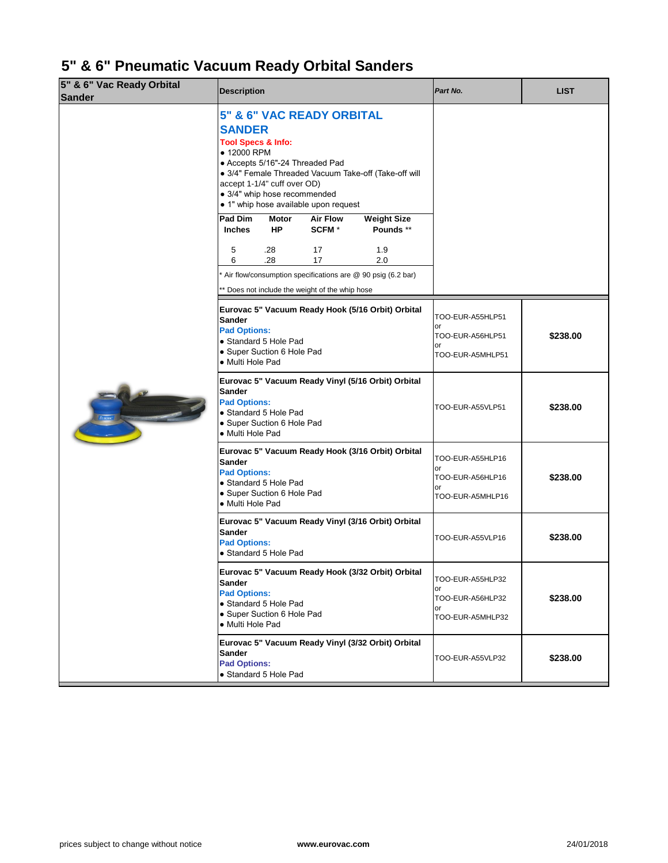## **5" & 6" Pneumatic Vacuum Ready Orbital Sanders**

| 5" & 6" Vac Ready Orbital<br><b>Sander</b> | <b>Description</b>                                            |                                                                                                                                                                                                                               | Part No.                                                             |                                                                           |                                                                      |
|--------------------------------------------|---------------------------------------------------------------|-------------------------------------------------------------------------------------------------------------------------------------------------------------------------------------------------------------------------------|----------------------------------------------------------------------|---------------------------------------------------------------------------|----------------------------------------------------------------------|
|                                            | <b>SANDER</b><br><b>Tool Specs &amp; Info:</b><br>• 12000 RPM | 5" & 6" VAC READY ORBITAL<br>• Accepts 5/16"-24 Threaded Pad<br>· 3/4" Female Threaded Vacuum Take-off (Take-off will<br>accept 1-1/4" cuff over OD)<br>• 3/4" whip hose recommended<br>• 1" whip hose available upon request |                                                                      |                                                                           |                                                                      |
|                                            | <b>Pad Dim</b><br><b>Inches</b>                               | <b>Motor</b><br><b>HP</b>                                                                                                                                                                                                     | <b>Air Flow</b><br><b>SCFM</b> *                                     | <b>Weight Size</b><br>Pounds **                                           |                                                                      |
|                                            | 5<br>6                                                        | .28<br>.28                                                                                                                                                                                                                    | 17<br>17                                                             | 1.9<br>2.0<br>Air flow/consumption specifications are @ 90 psig (6.2 bar) |                                                                      |
|                                            |                                                               | * Does not include the weight of the whip hose                                                                                                                                                                                |                                                                      |                                                                           |                                                                      |
|                                            | <b>Sander</b><br><b>Pad Options:</b><br>• Multi Hole Pad      | Eurovac 5" Vacuum Ready Hook (5/16 Orbit) Orbital<br>• Standard 5 Hole Pad<br>• Super Suction 6 Hole Pad                                                                                                                      | TOO-EUR-A55HLP51<br>or<br>TOO-EUR-A56HLP51<br>or<br>TOO-EUR-A5MHLP51 |                                                                           |                                                                      |
| <b>EUROMIC</b>                             | <b>Sander</b><br><b>Pad Options:</b><br>· Multi Hole Pad      | • Standard 5 Hole Pad<br>• Super Suction 6 Hole Pad                                                                                                                                                                           |                                                                      | Eurovac 5" Vacuum Ready Vinyl (5/16 Orbit) Orbital                        | TOO-EUR-A55VLP51                                                     |
|                                            | <b>Sander</b><br><b>Pad Options:</b><br>• Multi Hole Pad      | • Standard 5 Hole Pad<br>• Super Suction 6 Hole Pad                                                                                                                                                                           |                                                                      | Eurovac 5" Vacuum Ready Hook (3/16 Orbit) Orbital                         | TOO-EUR-A55HLP16<br>or<br>TOO-EUR-A56HLP16<br>or<br>TOO-EUR-A5MHLP16 |
|                                            | <b>Sander</b><br><b>Pad Options:</b>                          | • Standard 5 Hole Pad                                                                                                                                                                                                         |                                                                      | Eurovac 5" Vacuum Ready Vinyl (3/16 Orbit) Orbital                        | TOO-EUR-A55VLP16                                                     |
|                                            | <b>Sander</b><br><b>Pad Options:</b><br>· Multi Hole Pad      | • Standard 5 Hole Pad<br>• Super Suction 6 Hole Pad                                                                                                                                                                           |                                                                      | Eurovac 5" Vacuum Ready Hook (3/32 Orbit) Orbital                         | TOO-EUR-A55HLP32<br>or<br>TOO-EUR-A56HLP32<br>or<br>TOO-EUR-A5MHLP32 |
|                                            | <b>Sander</b><br><b>Pad Options:</b>                          | • Standard 5 Hole Pad                                                                                                                                                                                                         |                                                                      | Eurovac 5" Vacuum Ready Vinyl (3/32 Orbit) Orbital                        | TOO-EUR-A55VLP32                                                     |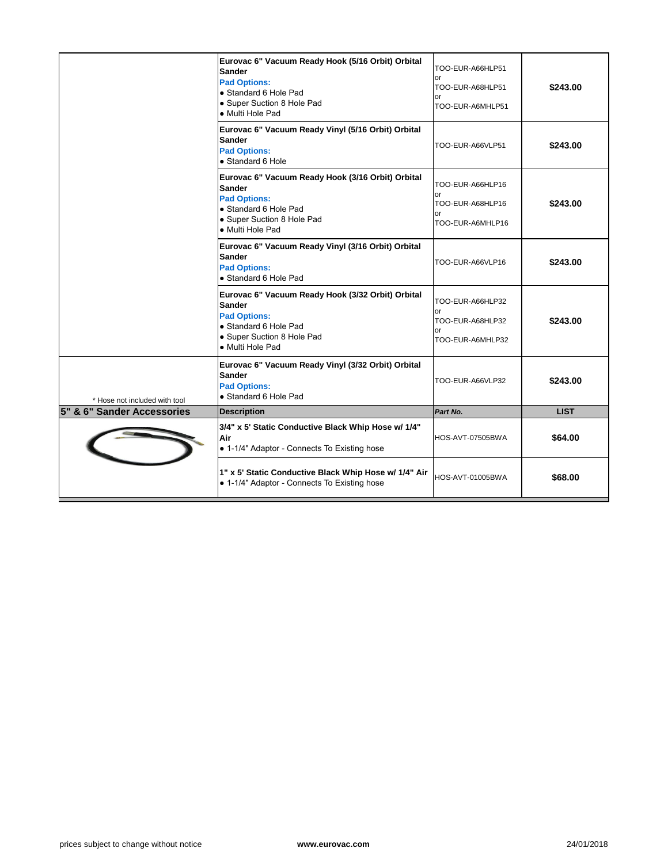|                               | Eurovac 6" Vacuum Ready Hook (5/16 Orbit) Orbital<br><b>Sander</b><br><b>Pad Options:</b><br>• Standard 6 Hole Pad<br>• Super Suction 8 Hole Pad<br>• Multi Hole Pad | TOO-EUR-A66HLP51<br>or<br>TOO-EUR-A68HLP51<br>or<br>TOO-EUR-A6MHLP51 |
|-------------------------------|----------------------------------------------------------------------------------------------------------------------------------------------------------------------|----------------------------------------------------------------------|
|                               | Eurovac 6" Vacuum Ready Vinyl (5/16 Orbit) Orbital<br><b>Sander</b><br><b>Pad Options:</b><br>• Standard 6 Hole                                                      | TOO-EUR-A66VLP51                                                     |
|                               | Eurovac 6" Vacuum Ready Hook (3/16 Orbit) Orbital<br><b>Sander</b><br><b>Pad Options:</b><br>• Standard 6 Hole Pad<br>• Super Suction 8 Hole Pad<br>• Multi Hole Pad | TOO-EUR-A66HLP16<br>or<br>TOO-EUR-A68HLP16<br>or<br>TOO-EUR-A6MHLP16 |
|                               | Eurovac 6" Vacuum Ready Vinyl (3/16 Orbit) Orbital<br><b>Sander</b><br><b>Pad Options:</b><br>• Standard 6 Hole Pad                                                  | TOO-EUR-A66VLP16                                                     |
|                               | Eurovac 6" Vacuum Ready Hook (3/32 Orbit) Orbital<br><b>Sander</b><br><b>Pad Options:</b><br>• Standard 6 Hole Pad<br>• Super Suction 8 Hole Pad<br>• Multi Hole Pad | TOO-EUR-A66HLP32<br>or<br>TOO-EUR-A68HLP32<br>or<br>TOO-EUR-A6MHLP32 |
| * Hose not included with tool | Eurovac 6" Vacuum Ready Vinyl (3/32 Orbit) Orbital<br><b>Sander</b><br><b>Pad Options:</b><br>• Standard 6 Hole Pad                                                  | TOO-EUR-A66VLP32                                                     |
| 5" & 6" Sander Accessories    | <b>Description</b>                                                                                                                                                   | Part No.                                                             |
|                               | 3/4" x 5' Static Conductive Black Whip Hose w/ 1/4"<br>Air<br>• 1-1/4" Adaptor - Connects To Existing hose                                                           | HOS-AVT-07505BWA                                                     |
|                               | 1" x 5' Static Conductive Black Whip Hose w/ 1/4" Air<br>• 1-1/4" Adaptor - Connects To Existing hose                                                                | HOS-AVT-01005BWA                                                     |
|                               |                                                                                                                                                                      |                                                                      |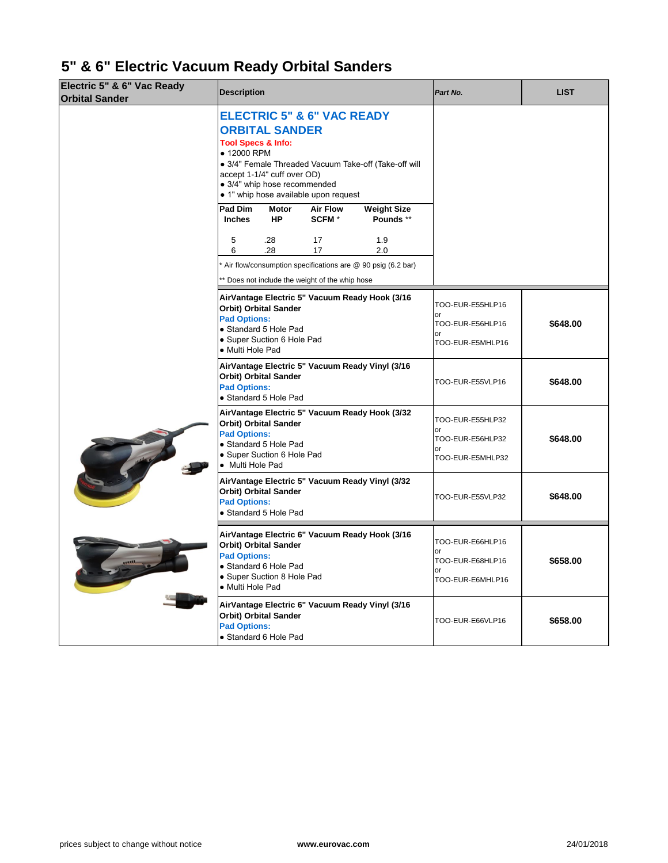### **5" & 6" Electric Vacuum Ready Orbital Sanders**

| Electric 5" & 6" Vac Ready<br><b>Orbital Sander</b> | <b>Description</b>                                                                                                                                                                                                                                                              | Part No.                                       |                                 |                                                  |  |
|-----------------------------------------------------|---------------------------------------------------------------------------------------------------------------------------------------------------------------------------------------------------------------------------------------------------------------------------------|------------------------------------------------|---------------------------------|--------------------------------------------------|--|
|                                                     | <b>ELECTRIC 5" &amp; 6" VAC READY</b><br><b>ORBITAL SANDER</b><br><b>Tool Specs &amp; Info:</b><br>• 12000 RPM<br>· 3/4" Female Threaded Vacuum Take-off (Take-off will<br>accept 1-1/4" cuff over OD)<br>· 3/4" whip hose recommended<br>• 1" whip hose available upon request |                                                |                                 |                                                  |  |
|                                                     | Pad Dim<br><b>Motor</b><br><b>HP</b><br><b>Inches</b>                                                                                                                                                                                                                           | <b>Air Flow</b><br><b>SCFM</b> *               | <b>Weight Size</b><br>Pounds ** |                                                  |  |
|                                                     | .28<br>5<br>.28<br>6                                                                                                                                                                                                                                                            | 17<br>17                                       | 1.9<br>2.0                      |                                                  |  |
|                                                     | Air flow/consumption specifications are @ 90 psig (6.2 bar)<br>* Does not include the weight of the whip hose                                                                                                                                                                   |                                                |                                 |                                                  |  |
|                                                     | AirVantage Electric 5" Vacuum Ready Hook (3/16<br><b>Orbit) Orbital Sander</b><br><b>Pad Options:</b><br>• Standard 5 Hole Pad                                                                                                                                                  |                                                |                                 | TOO-EUR-E55HLP16<br>or<br>TOO-EUR-E56HLP16<br>or |  |
|                                                     | • Multi Hole Pad                                                                                                                                                                                                                                                                | • Super Suction 6 Hole Pad<br>TOO-EUR-E5MHLP16 |                                 |                                                  |  |
|                                                     | AirVantage Electric 5" Vacuum Ready Vinyl (3/16<br><b>Orbit) Orbital Sander</b><br><b>Pad Options:</b><br>• Standard 5 Hole Pad                                                                                                                                                 |                                                |                                 | TOO-EUR-E55VLP16                                 |  |
|                                                     | AirVantage Electric 5" Vacuum Ready Hook (3/32<br><b>Orbit) Orbital Sander</b><br><b>Pad Options:</b><br>• Standard 5 Hole Pad                                                                                                                                                  |                                                |                                 | TOO-EUR-E55HLP32<br>or<br>TOO-EUR-E56HLP32       |  |
|                                                     | • Super Suction 6 Hole Pad<br>• Multi Hole Pad                                                                                                                                                                                                                                  |                                                |                                 | or<br>TOO-EUR-E5MHLP32                           |  |
|                                                     | AirVantage Electric 5" Vacuum Ready Vinyl (3/32<br><b>Orbit) Orbital Sander</b><br><b>Pad Options:</b><br>• Standard 5 Hole Pad                                                                                                                                                 | TOO-EUR-E55VLP32                               |                                 |                                                  |  |
|                                                     | AirVantage Electric 6" Vacuum Ready Hook (3/16<br><b>Orbit) Orbital Sander</b>                                                                                                                                                                                                  |                                                |                                 | TOO-EUR-E66HLP16<br>or                           |  |
|                                                     | <b>Pad Options:</b><br>• Standard 6 Hole Pad<br>• Super Suction 8 Hole Pad<br>• Multi Hole Pad                                                                                                                                                                                  |                                                |                                 |                                                  |  |
|                                                     | AirVantage Electric 6" Vacuum Ready Vinyl (3/16<br><b>Orbit) Orbital Sander</b><br><b>Pad Options:</b><br>• Standard 6 Hole Pad                                                                                                                                                 |                                                |                                 | TOO-EUR-E66VLP16                                 |  |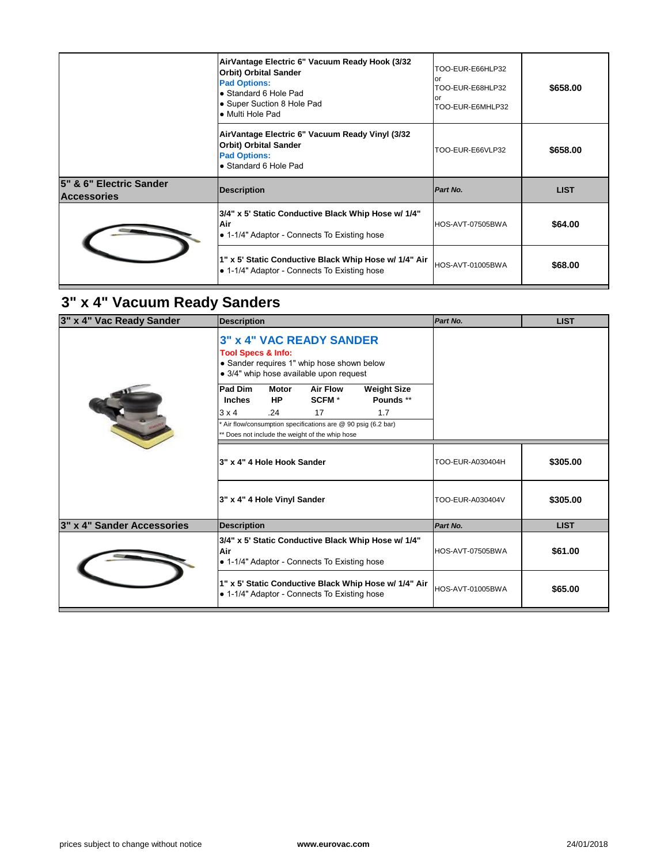|                                               | AirVantage Electric 6" Vacuum Ready Hook (3/32<br><b>Orbit) Orbital Sander</b><br><b>Pad Options:</b><br>• Standard 6 Hole Pad<br>• Super Suction 8 Hole Pad<br>• Multi Hole Pad | TOO-EUR-E66HLP32<br>or<br>TOO-EUR-E68HLP32<br>or<br>TOO-EUR-E6MHLP32 |
|-----------------------------------------------|----------------------------------------------------------------------------------------------------------------------------------------------------------------------------------|----------------------------------------------------------------------|
|                                               | AirVantage Electric 6" Vacuum Ready Vinyl (3/32<br><b>Orbit) Orbital Sander</b><br><b>Pad Options:</b><br>• Standard 6 Hole Pad                                                  | TOO-EUR-E66VLP32                                                     |
|                                               |                                                                                                                                                                                  |                                                                      |
| 5" & 6" Electric Sander<br><b>Accessories</b> | <b>Description</b>                                                                                                                                                               | Part No.                                                             |
|                                               | 3/4" x 5' Static Conductive Black Whip Hose w/ 1/4"<br>Air<br>• 1-1/4" Adaptor - Connects To Existing hose                                                                       | HOS-AVT-07505BWA                                                     |

## **3" x 4" Vacuum Ready Sanders**

| 3" x 4" Vac Ready Sander   | <b>Description</b>                                                                                                                                        |                           |                                      |                                 | Part No.         |
|----------------------------|-----------------------------------------------------------------------------------------------------------------------------------------------------------|---------------------------|--------------------------------------|---------------------------------|------------------|
|                            | <b>3" x 4" VAC READY SANDER</b><br><b>Tool Specs &amp; Info:</b><br>• Sander requires 1" whip hose shown below<br>· 3/4" whip hose available upon request |                           |                                      |                                 |                  |
|                            | <b>Pad Dim</b><br><b>Inches</b>                                                                                                                           | <b>Motor</b><br><b>HP</b> | <b>Air Flow</b><br>SCFM <sup>*</sup> | <b>Weight Size</b><br>Pounds ** |                  |
|                            | .24<br>$3 \times 4$<br>Air flow/consumption specifications are @ 90 psig (6.2 bar)<br>* Does not include the weight of the whip hose                      | 17                        | 1.7                                  |                                 |                  |
|                            | 3" x 4" 4 Hole Hook Sander                                                                                                                                |                           | TOO-EUR-A030404H                     |                                 |                  |
|                            | 3" x 4" 4 Hole Vinyl Sander                                                                                                                               |                           |                                      |                                 | TOO-EUR-A030404V |
| 3" x 4" Sander Accessories | <b>Description</b>                                                                                                                                        |                           |                                      |                                 | Part No.         |
|                            | 3/4" x 5' Static Conductive Black Whip Hose w/ 1/4"<br>Air<br>• 1-1/4" Adaptor - Connects To Existing hose                                                |                           |                                      |                                 | HOS-AVT-07505BWA |
|                            | 1" x 5' Static Conductive Black Whip Hose w/ 1/4" Air<br>• 1-1/4" Adaptor - Connects To Existing hose                                                     |                           | <b>HOS-AVT-01005BWA</b>              |                                 |                  |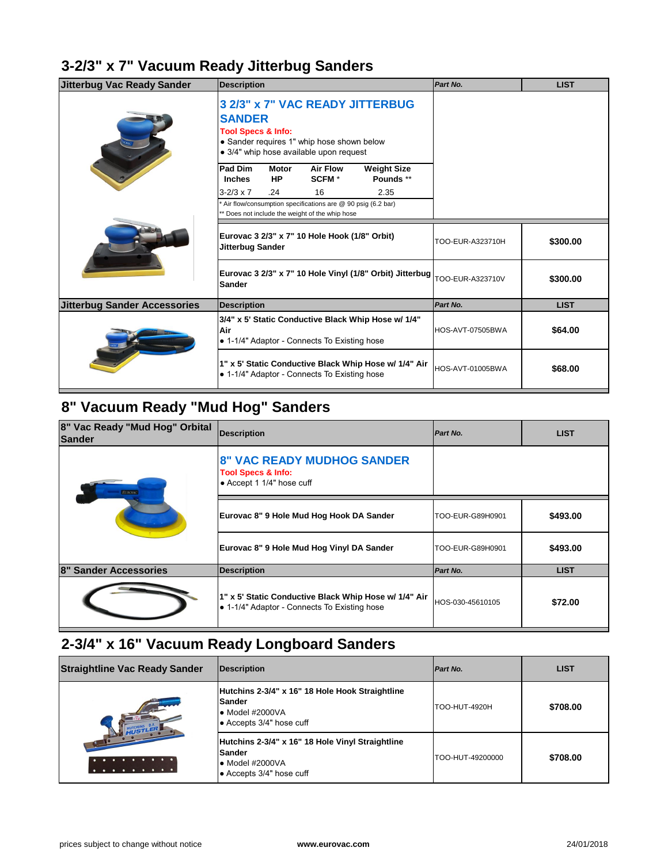#### **3-2/3" x 7" Vacuum Ready Jitterbug Sanders**

| <b>Jitterbug Vac Ready Sander</b>   | <b>Description</b>                                                                                                                                                         |                           |                                              |                                                          | Part No.         |
|-------------------------------------|----------------------------------------------------------------------------------------------------------------------------------------------------------------------------|---------------------------|----------------------------------------------|----------------------------------------------------------|------------------|
|                                     | 3 2/3" x 7" VAC READY JITTERBUG<br><b>SANDER</b><br><b>Tool Specs &amp; Info:</b><br>• Sander requires 1" whip hose shown below<br>• 3/4" whip hose available upon request |                           |                                              |                                                          |                  |
|                                     | <b>Pad Dim</b><br><b>Inches</b>                                                                                                                                            | <b>Motor</b><br><b>HP</b> | <b>Air Flow</b><br>SCFM <sup>*</sup>         | <b>Weight Size</b><br>Pounds **                          |                  |
|                                     | $3 - 2/3 \times 7$                                                                                                                                                         | .24                       | 16                                           | 2.35                                                     |                  |
|                                     | Air flow/consumption specifications are @ 90 psig (6.2 bar)<br>** Does not include the weight of the whip hose                                                             |                           |                                              |                                                          |                  |
|                                     | Eurovac 3 2/3" x 7" 10 Hole Hook (1/8" Orbit)<br><b>Jitterbug Sander</b>                                                                                                   |                           | TOO-EUR-A323710H                             |                                                          |                  |
|                                     | <b>Sander</b>                                                                                                                                                              |                           |                                              | Eurovac 3 2/3" x 7" 10 Hole Vinyl (1/8" Orbit) Jitterbug | TOO-EUR-A323710V |
| <b>Jitterbug Sander Accessories</b> | <b>Description</b>                                                                                                                                                         |                           | Part No.                                     |                                                          |                  |
|                                     | 3/4" x 5' Static Conductive Black Whip Hose w/ 1/4"<br>Air<br>• 1-1/4" Adaptor - Connects To Existing hose                                                                 |                           |                                              |                                                          | HOS-AVT-07505BWA |
|                                     |                                                                                                                                                                            |                           | • 1-1/4" Adaptor - Connects To Existing hose | 1" x 5' Static Conductive Black Whip Hose w/ 1/4" Air    | HOS-AVT-01005BWA |

### **8" Vacuum Ready "Mud Hog" Sanders**

| 8" Vac Ready "Mud Hog" Orbital<br>Sander | <b>Description</b>                                                                                    | Part No.         |
|------------------------------------------|-------------------------------------------------------------------------------------------------------|------------------|
| <b>EUROVAC</b>                           | <b>8" VAC READY MUDHOG SANDER</b><br><b>Tool Specs &amp; Info:</b><br>• Accept 1 1/4" hose cuff       |                  |
|                                          | Eurovac 8" 9 Hole Mud Hog Hook DA Sander                                                              | TOO-EUR-G89H0901 |
|                                          | Eurovac 8" 9 Hole Mud Hog Vinyl DA Sander                                                             | TOO-EUR-G89H0901 |
| <b>8" Sander Accessories</b>             | <b>Description</b>                                                                                    | Part No.         |
|                                          | 1" x 5' Static Conductive Black Whip Hose w/ 1/4" Air<br>• 1-1/4" Adaptor - Connects To Existing hose | HOS-030-45610105 |

#### **2-3/4" x 16" Vacuum Ready Longboard Sanders**

| <b>Straightline Vac Ready Sander</b> | Description                                                                                                              | <b>Part No.</b>  |
|--------------------------------------|--------------------------------------------------------------------------------------------------------------------------|------------------|
|                                      | Hutchins 2-3/4" x 16" 18 Hole Hook Straightline<br><b>Sander</b><br>l● Model #2000VA<br>$\bullet$ Accepts 3/4" hose cuff | TOO-HUT-4920H    |
|                                      | Hutchins 2-3/4" x 16" 18 Hole Vinyl Straightline<br>lSander<br>l● Model #2000VA<br>● Accepts 3/4" hose cuff              | TOO-HUT-49200000 |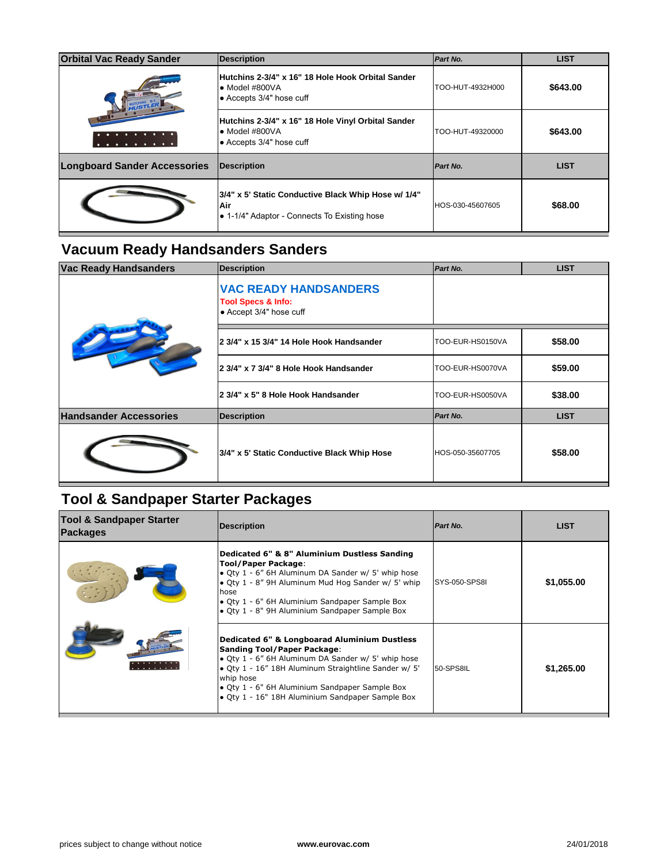| <b>Orbital Vac Ready Sander</b>                                                                                    | <b>Description</b>                                                                                       | Part No.         |
|--------------------------------------------------------------------------------------------------------------------|----------------------------------------------------------------------------------------------------------|------------------|
| <b>WISTLER</b>                                                                                                     | Hutchins 2-3/4" x 16" 18 Hole Hook Orbital Sander<br>$\bullet$ Model #800VA<br>• Accepts 3/4" hose cuff  | TOO-HUT-4932H000 |
| $\begin{array}{ccccccccccccccccc} \bullet & \bullet & \bullet & \bullet & \bullet & \bullet & \bullet \end{array}$ | Hutchins 2-3/4" x 16" 18 Hole Vinyl Orbital Sander<br>$\bullet$ Model #800VA<br>• Accepts 3/4" hose cuff | TOO-HUT-49320000 |
|                                                                                                                    |                                                                                                          |                  |
| <b>Longboard Sander Accessories</b>                                                                                | <b>Description</b>                                                                                       | Part No.         |

#### **Vacuum Ready Handsanders Sanders**

| <b>Vac Ready Handsanders</b>  | <b>Description</b>                                                                       | <b>Part No.</b>  |
|-------------------------------|------------------------------------------------------------------------------------------|------------------|
|                               | <b>VAC READY HANDSANDERS</b><br><b>Tool Specs &amp; Info:</b><br>• Accept 3/4" hose cuff |                  |
|                               | 2 3/4" x 15 3/4" 14 Hole Hook Handsander                                                 | TOO-EUR-HS0150VA |
|                               | 2 3/4" x 7 3/4" 8 Hole Hook Handsander                                                   | TOO-EUR-HS0070VA |
|                               | 2 3/4" x 5" 8 Hole Hook Handsander                                                       | TOO-EUR-HS0050VA |
| <b>Handsander Accessories</b> | <b>Description</b>                                                                       | <b>Part No.</b>  |
|                               | 3/4" x 5' Static Conductive Black Whip Hose                                              | HOS-050-35607705 |

### **Tool & Sandpaper Starter Packages**

| <b>Tool &amp; Sandpaper Starter</b><br><b>Packages</b> | <b>Description</b>                                                                                                                                                                                                                                                                                                             | Part No.      |
|--------------------------------------------------------|--------------------------------------------------------------------------------------------------------------------------------------------------------------------------------------------------------------------------------------------------------------------------------------------------------------------------------|---------------|
|                                                        | Dedicated 6" & 8" Aluminium Dustless Sanding<br><b>Tool/Paper Package:</b><br>• Qty 1 - 6" 6H Aluminum DA Sander w/ 5' whip hose<br>• Qty 1 - 8" 9H Aluminum Mud Hog Sander w/ 5' whip<br>hose<br>• Qty 1 - 6" 6H Aluminium Sandpaper Sample Box<br>• Qty 1 - 8" 9H Aluminium Sandpaper Sample Box                             | SYS-050-SPS8I |
|                                                        | <b>Dedicated 6" &amp; Longboarad Aluminium Dustless</b><br><b>Sanding Tool/Paper Package:</b><br>• Qty 1 - 6" 6H Aluminum DA Sander w/ 5' whip hose<br>• Qty 1 - 16" 18H Aluminum Straightline Sander w/ 5'<br>whip hose<br>• Qty 1 - 6" 6H Aluminium Sandpaper Sample Box<br>· Qty 1 - 16" 18H Aluminium Sandpaper Sample Box | 50-SPS8IL     |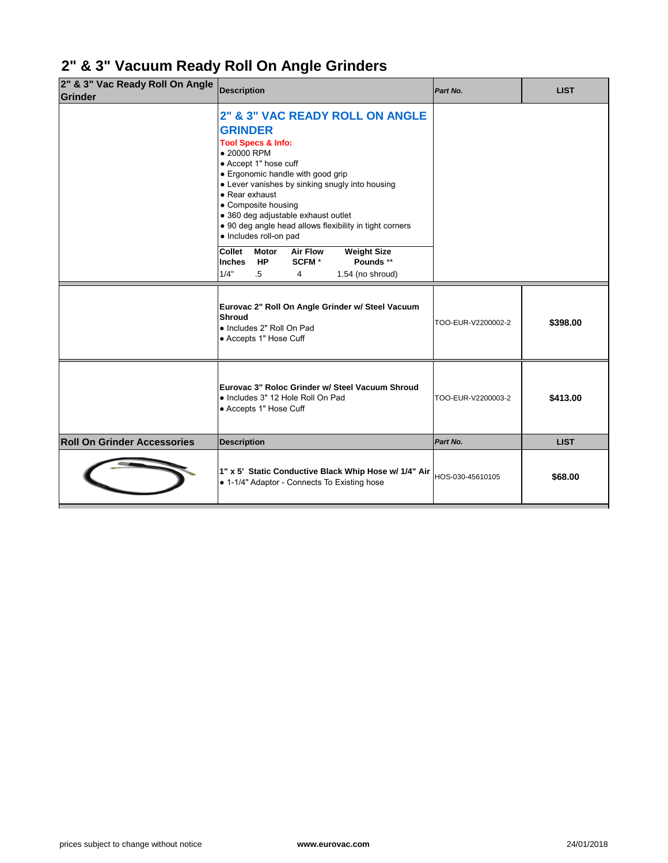### **2" & 3" Vacuum Ready Roll On Angle Grinders**

| 2" & 3" Vac Ready Roll On Angle<br>Grinder | <b>Description</b>                                                                                                                                                                                                                                                                                                                                                                                 | Part No.           |
|--------------------------------------------|----------------------------------------------------------------------------------------------------------------------------------------------------------------------------------------------------------------------------------------------------------------------------------------------------------------------------------------------------------------------------------------------------|--------------------|
|                                            | <b>2" &amp; 3" VAC READY ROLL ON ANGLE</b><br><b>GRINDER</b><br><b>Tool Specs &amp; Info:</b><br>• 20000 RPM<br>• Accept 1" hose cuff<br>• Ergonomic handle with good grip<br>• Lever vanishes by sinking snugly into housing<br>• Rear exhaust<br>• Composite housing<br>· 360 deg adjustable exhaust outlet<br>• 90 deg angle head allows flexibility in tight corners<br>· Includes roll-on pad |                    |
|                                            | <b>Collet</b><br><b>Air Flow</b><br><b>Weight Size</b><br><b>Motor</b><br>Pounds **<br>SCFM <sup>*</sup><br><b>Inches</b><br><b>HP</b><br>1/4"<br>$.5\,$<br>1.54 (no shroud)<br>4                                                                                                                                                                                                                  |                    |
|                                            | Eurovac 2" Roll On Angle Grinder w/ Steel Vacuum<br><b>Shroud</b><br>· Includes 2" Roll On Pad<br>• Accepts 1" Hose Cuff                                                                                                                                                                                                                                                                           | TOO-EUR-V2200002-2 |
|                                            | Eurovac 3" Roloc Grinder w/ Steel Vacuum Shroud<br>· Includes 3" 12 Hole Roll On Pad<br>• Accepts 1" Hose Cuff                                                                                                                                                                                                                                                                                     | TOO-EUR-V2200003-2 |
| <b>Roll On Grinder Accessories</b>         | <b>Description</b>                                                                                                                                                                                                                                                                                                                                                                                 | Part No.           |
|                                            | 1" x 5' Static Conductive Black Whip Hose w/ 1/4" Air<br>• 1-1/4" Adaptor - Connects To Existing hose                                                                                                                                                                                                                                                                                              | HOS-030-45610105   |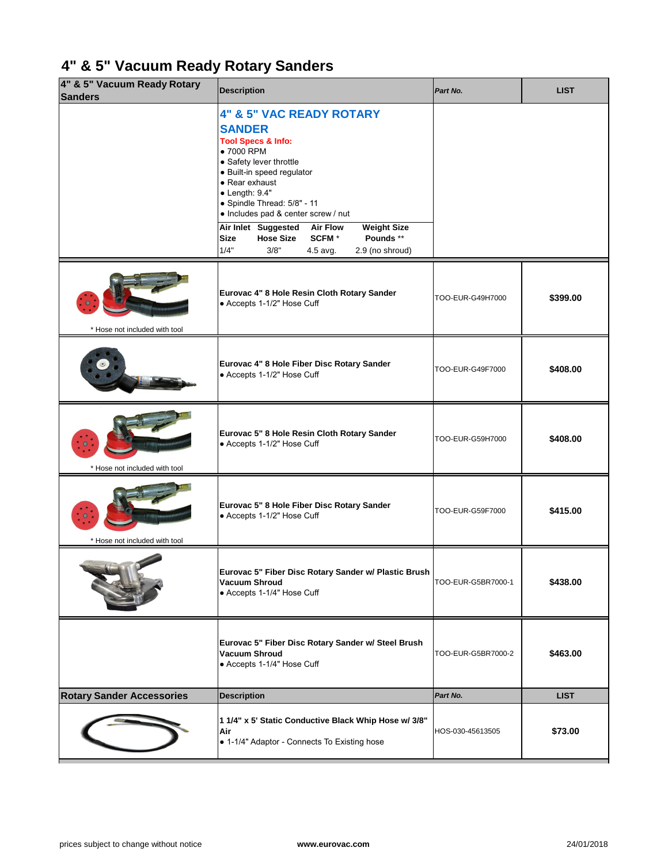## **4" & 5" Vacuum Ready Rotary Sanders**

| 4" & 5" Vacuum Ready Rotary<br><b>Sanders</b> | <b>Description</b>                                                                                                                                                                                                                                                             | Part No.           |
|-----------------------------------------------|--------------------------------------------------------------------------------------------------------------------------------------------------------------------------------------------------------------------------------------------------------------------------------|--------------------|
|                                               | <b>4" &amp; 5" VAC READY ROTARY</b><br><b>SANDER</b><br><b>Tool Specs &amp; Info:</b><br>• 7000 RPM<br>• Safety lever throttle<br>· Built-in speed regulator<br>• Rear exhaust<br>$\bullet$ Length: 9.4"<br>• Spindle Thread: 5/8" - 11<br>• Includes pad & center screw / nut |                    |
|                                               | <b>Air Flow</b><br><b>Weight Size</b><br>Air Inlet Suggested<br>Pounds **<br><b>Hose Size</b><br>SCFM <sup>*</sup><br><b>Size</b><br>3/8"<br>1/4"<br>2.9 (no shroud)<br>4.5 avg.                                                                                               |                    |
| * Hose not included with tool                 | Eurovac 4" 8 Hole Resin Cloth Rotary Sander<br>• Accepts 1-1/2" Hose Cuff                                                                                                                                                                                                      | TOO-EUR-G49H7000   |
|                                               | Eurovac 4" 8 Hole Fiber Disc Rotary Sander<br>• Accepts 1-1/2" Hose Cuff                                                                                                                                                                                                       | TOO-EUR-G49F7000   |
| 100313<br>* Hose not included with tool       | Eurovac 5" 8 Hole Resin Cloth Rotary Sander<br>• Accepts 1-1/2" Hose Cuff                                                                                                                                                                                                      | TOO-EUR-G59H7000   |
| * Hose not included with tool                 | Eurovac 5" 8 Hole Fiber Disc Rotary Sander<br>• Accepts 1-1/2" Hose Cuff                                                                                                                                                                                                       | TOO-EUR-G59F7000   |
|                                               | Eurovac 5" Fiber Disc Rotary Sander w/ Plastic Brush<br><b>Vacuum Shroud</b><br>• Accepts 1-1/4" Hose Cuff                                                                                                                                                                     | TOO-EUR-G5BR7000-1 |
|                                               | Eurovac 5" Fiber Disc Rotary Sander w/ Steel Brush<br><b>Vacuum Shroud</b><br>• Accepts 1-1/4" Hose Cuff                                                                                                                                                                       | TOO-EUR-G5BR7000-2 |
| <b>Rotary Sander Accessories</b>              | <b>Description</b>                                                                                                                                                                                                                                                             | Part No.           |
|                                               | 1 1/4" x 5' Static Conductive Black Whip Hose w/ 3/8"<br>Air<br>• 1-1/4" Adaptor - Connects To Existing hose                                                                                                                                                                   | HOS-030-45613505   |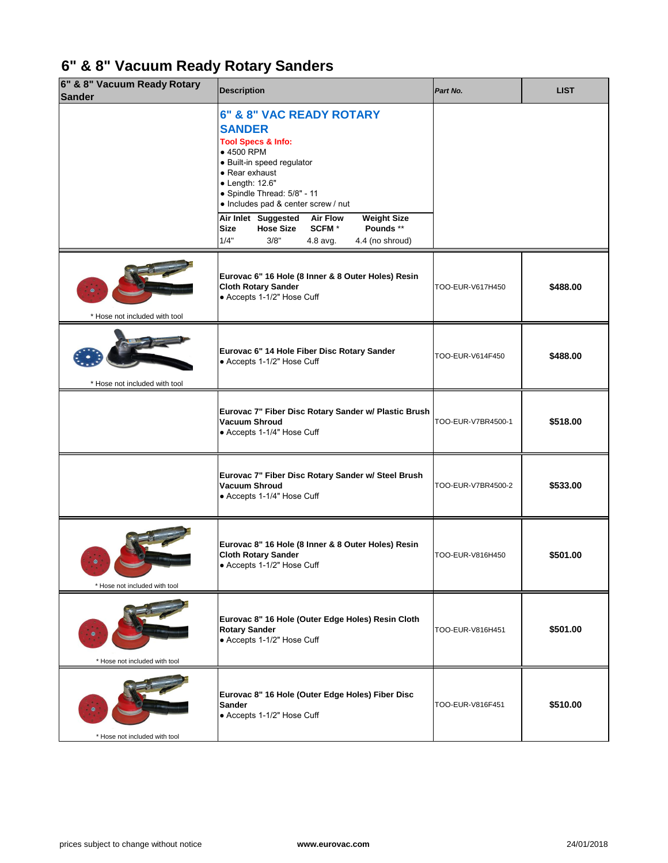## **6" & 8" Vacuum Ready Rotary Sanders**

| 6" & 8" Vacuum Ready Rotary<br><b>Sander</b> | <b>Description</b>                                                                                                                                                                                                                | Part No.           |
|----------------------------------------------|-----------------------------------------------------------------------------------------------------------------------------------------------------------------------------------------------------------------------------------|--------------------|
|                                              | 6" & 8" VAC READY ROTARY<br><b>SANDER</b><br><b>Tool Specs &amp; Info:</b><br>• 4500 RPM<br>· Built-in speed regulator<br>• Rear exhaust<br>• Length: 12.6"<br>• Spindle Thread: 5/8" - 11<br>• Includes pad & center screw / nut |                    |
|                                              | <b>Air Flow</b><br><b>Weight Size</b><br>Air Inlet Suggested<br>Pounds **<br>SCFM <sup>*</sup><br><b>Hose Size</b><br><b>Size</b><br>1/4"<br>3/8"<br>4.4 (no shroud)<br>4.8 avg.                                                  |                    |
| * Hose not included with tool                | Eurovac 6" 16 Hole (8 Inner & 8 Outer Holes) Resin<br><b>Cloth Rotary Sander</b><br>• Accepts 1-1/2" Hose Cuff                                                                                                                    | TOO-EUR-V617H450   |
| * Hose not included with tool                | Eurovac 6" 14 Hole Fiber Disc Rotary Sander<br>• Accepts 1-1/2" Hose Cuff                                                                                                                                                         | TOO-EUR-V614F450   |
|                                              | Eurovac 7" Fiber Disc Rotary Sander w/ Plastic Brush<br><b>Vacuum Shroud</b><br>• Accepts 1-1/4" Hose Cuff                                                                                                                        | TOO-EUR-V7BR4500-1 |
|                                              | Eurovac 7" Fiber Disc Rotary Sander w/ Steel Brush<br><b>Vacuum Shroud</b><br>• Accepts 1-1/4" Hose Cuff                                                                                                                          | TOO-EUR-V7BR4500-2 |
| * Hose not included with tool                | Eurovac 8" 16 Hole (8 Inner & 8 Outer Holes) Resin<br><b>Cloth Rotary Sander</b><br>• Accepts 1-1/2" Hose Cuff                                                                                                                    | TOO-EUR-V816H450   |
| * Hose not included with tool                | Eurovac 8" 16 Hole (Outer Edge Holes) Resin Cloth<br><b>Rotary Sander</b><br>• Accepts 1-1/2" Hose Cuff                                                                                                                           | TOO-EUR-V816H451   |
|                                              | Eurovac 8" 16 Hole (Outer Edge Holes) Fiber Disc<br><b>Sander</b><br>• Accepts 1-1/2" Hose Cuff                                                                                                                                   | TOO-EUR-V816F451   |
| * Hose not included with tool                |                                                                                                                                                                                                                                   |                    |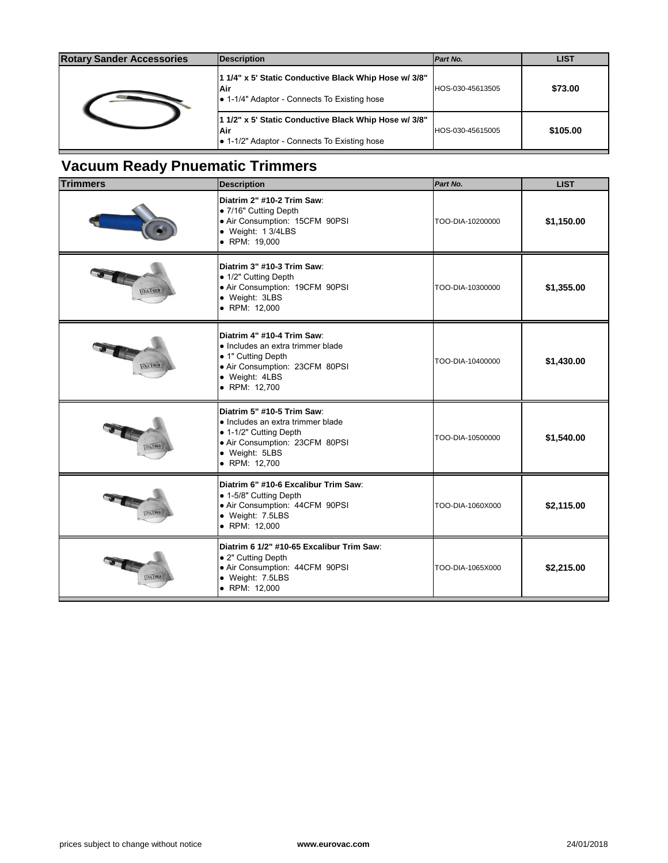| <b>Rotary Sander Accessories</b> | <b>Description</b>                                                                                            | Part No.                 |
|----------------------------------|---------------------------------------------------------------------------------------------------------------|--------------------------|
|                                  | 1 1/4" x 5' Static Conductive Black Whip Hose w/ 3/8"<br> Air<br>• 1-1/4" Adaptor - Connects To Existing hose | <b>IHOS-030-45613505</b> |
|                                  | 1 1/2" x 5' Static Conductive Black Whip Hose w/ 3/8"<br>Air<br>1-1/2" Adaptor - Connects To Existing hose    | <b>IHOS-030-45615005</b> |

### **Vacuum Ready Pnuematic Trimmers**

| <b>Trimmers</b>                 | <b>Description</b>                                                                                                                                             | Part No.         |
|---------------------------------|----------------------------------------------------------------------------------------------------------------------------------------------------------------|------------------|
|                                 | Diatrim 2" #10-2 Trim Saw:<br>• 7/16" Cutting Depth<br>• Air Consumption: 15CFM 90PSI<br>· Weight: 1 3/4LBS<br>• RPM: 19,000                                   | TOO-DIA-10200000 |
| орутары                         | Diatrim 3" #10-3 Trim Saw:<br>• 1/2" Cutting Depth<br>· Air Consumption: 19CFM 90PSI<br>• Weight: 3LBS<br>• RPM: 12,000                                        | TOO-DIA-10300000 |
| <b><i><u>UIVI UITTI</u></i></b> | Diatrim 4" #10-4 Trim Saw:<br>· Includes an extra trimmer blade<br>• 1" Cutting Depth<br>· Air Consumption: 23CFM 80PSI<br>• Weight: 4LBS<br>• RPM: 12,700     | TOO-DIA-10400000 |
| <b>ОБЪТЯЕ</b>                   | Diatrim 5" #10-5 Trim Saw:<br>• Includes an extra trimmer blade<br>• 1-1/2" Cutting Depth<br>· Air Consumption: 23CFM 80PSI<br>· Weight: 5LBS<br>• RPM: 12,700 | TOO-DIA-10500000 |
| <b>OIA TRIM</b>                 | Diatrim 6" #10-6 Excalibur Trim Saw:<br>• 1-5/8" Cutting Depth<br>· Air Consumption: 44CFM 90PSI<br>· Weight: 7.5LBS<br>• RPM: 12,000                          | TOO-DIA-1060X000 |
|                                 | Diatrim 6 1/2" #10-65 Excalibur Trim Saw:<br>• 2" Cutting Depth<br>• Air Consumption: 44CFM 90PSI<br>· Weight: 7.5LBS<br>• RPM: 12,000                         | TOO-DIA-1065X000 |